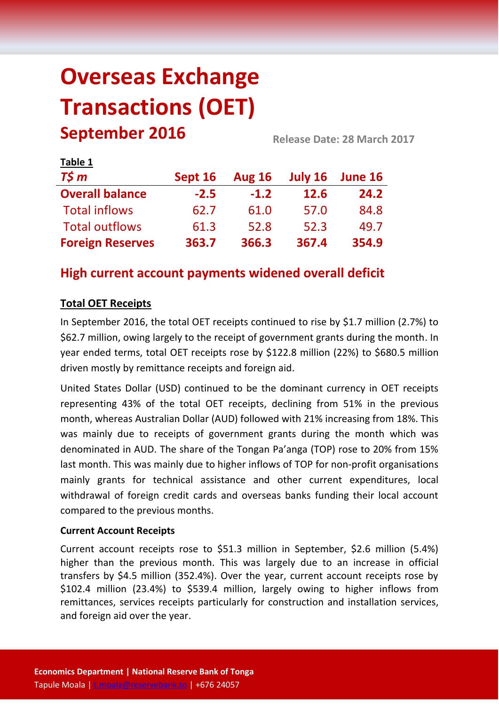# **Overseas Exchange Transactions (OET) September 2016 Release Date: 28 March <sup>2017</sup>**

| LANIC T                 |         |               |             |         |  |
|-------------------------|---------|---------------|-------------|---------|--|
| $T\frac{2}{3}m$         | Sept 16 | <b>Aug 16</b> | July 16     | June 16 |  |
| <b>Overall balance</b>  | $-2.5$  | $-1.2$        | <b>12.6</b> | 24.2    |  |
| <b>Total inflows</b>    | 62.7    | 61.0          | 57.0        | 84.8    |  |
| <b>Total outflows</b>   | 61.3    | 52.8          | 52.3        | 49.7    |  |
| <b>Foreign Reserves</b> | 363.7   | 366.3         | 367.4       | 354.9   |  |

# **High current account payments widened overall deficit**

## **Total OET Receipts**

**Table 1**

In September 2016, the total OET receipts continued to rise by \$1.7 million (2.7%) to \$62.7 million, owing largely to the receipt of government grants during the month. In year ended terms, total OET receipts rose by \$122.8 million (22%) to \$680.5 million driven mostly by remittance receipts and foreign aid.

United States Dollar (USD) continued to be the dominant currency in OET receipts representing 43% of the total OET receipts, declining from 51% in the previous month, whereas Australian Dollar (AUD) followed with 21% increasing from 18%. This was mainly due to receipts of government grants during the month which was denominated in AUD. The share of the Tongan Pa'anga (TOP) rose to 20% from 15% last month. This was mainly due to higher inflows of TOP for non-profit organisations mainly grants for technical assistance and other current expenditures, local withdrawal of foreign credit cards and overseas banks funding their local account compared to the previous months.

#### **Current Account Receipts**

Current account receipts rose to \$51.3 million in September, \$2.6 million (5.4%) higher than the previous month. This was largely due to an increase in official transfers by \$4.5 million (352.4%). Over the year, current account receipts rose by \$102.4 million (23.4%) to \$539.4 million, largely owing to higher inflows from remittances, services receipts particularly for construction and installation services, and foreign aid over the year.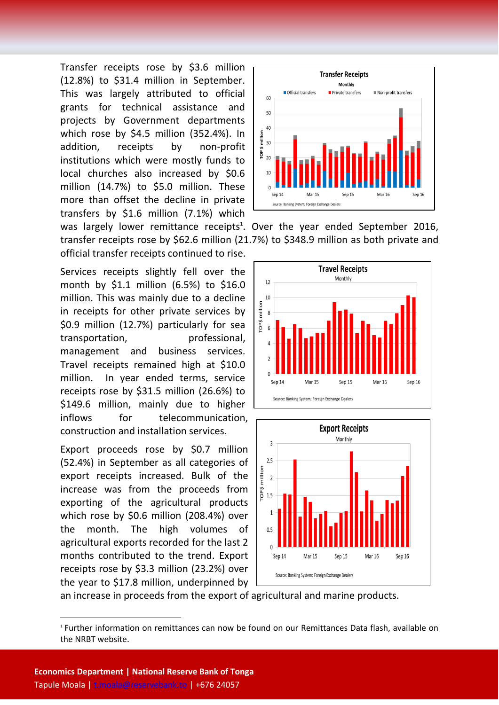Transfer receipts rose by \$3.6 million (12.8%) to \$31.4 million in September. This was largely attributed to official grants for technical assistance and projects by Government departments which rose by \$4.5 million (352.4%). In addition, receipts by non-profit institutions which were mostly funds to local churches also increased by \$0.6 million (14.7%) to \$5.0 million. These more than offset the decline in private transfers by \$1.6 million (7.1%) which official transfer receipts continued to rise.

Services receipts slightly fell over the month by \$1.1 million (6.5%) to \$16.0 million. This was mainly due to a decline in receipts for other private services by \$0.9 million (12.7%) particularly for sea transportation, professional, management and business services. Travel receipts remained high at \$10.0 million. In year ended terms, service receipts rose by \$31.5 million (26.6%) to \$149.6 million, mainly due to higher inflows for telecommunication, construction and installation services.

Export proceeds rose by \$0.7 million (52.4%) in September as all categories of export receipts increased. Bulk of the increase was from the proceeds from exporting of the agricultural products which rose by \$0.6 million (208.4%) over the month. The high volumes of agricultural exports recorded for the last 2 months contributed to the trend. Export receipts rose by \$3.3 million (23.2%) over the year to \$17.8 million, underpinned by



was largely lower remittance receipts<sup>1</sup>. Over the year ended September 2016, transfer receipts rose by \$62.6 million (21.7%) to \$348.9 million as both private and





an increase in proceeds from the export of agricultural and marine products.

**.** 

<sup>1</sup> Further information on remittances can now be found on our Remittances Data flash, available on the NRBT website.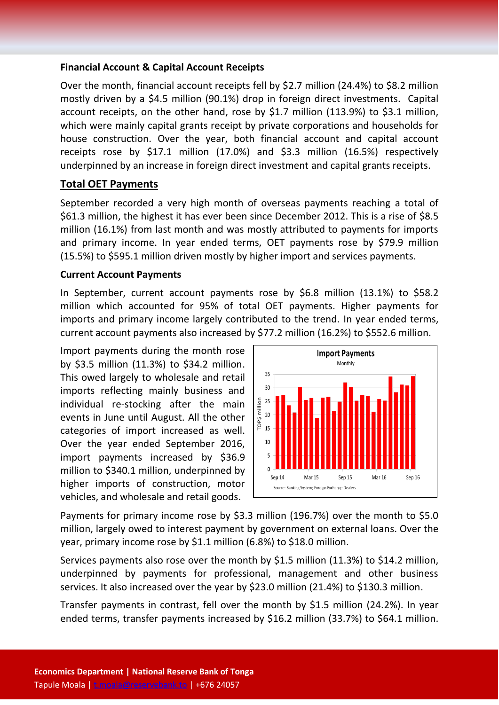#### **Financial Account & Capital Account Receipts**

Over the month, financial account receipts fell by \$2.7 million (24.4%) to \$8.2 million mostly driven by a \$4.5 million (90.1%) drop in foreign direct investments. Capital account receipts, on the other hand, rose by \$1.7 million (113.9%) to \$3.1 million, which were mainly capital grants receipt by private corporations and households for house construction. Over the year, both financial account and capital account receipts rose by \$17.1 million (17.0%) and \$3.3 million (16.5%) respectively underpinned by an increase in foreign direct investment and capital grants receipts.

## **Total OET Payments**

September recorded a very high month of overseas payments reaching a total of \$61.3 million, the highest it has ever been since December 2012. This is a rise of \$8.5 million (16.1%) from last month and was mostly attributed to payments for imports and primary income. In year ended terms, OET payments rose by \$79.9 million (15.5%) to \$595.1 million driven mostly by higher import and services payments.

#### **Current Account Payments**

In September, current account payments rose by \$6.8 million (13.1%) to \$58.2 million which accounted for 95% of total OET payments. Higher payments for imports and primary income largely contributed to the trend. In year ended terms, current account payments also increased by \$77.2 million (16.2%) to \$552.6 million.

Import payments during the month rose by \$3.5 million (11.3%) to \$34.2 million. This owed largely to wholesale and retail imports reflecting mainly business and individual re-stocking after the main events in June until August. All the other categories of import increased as well. Over the year ended September 2016, import payments increased by \$36.9 million to \$340.1 million, underpinned by higher imports of construction, motor vehicles, and wholesale and retail goods.



Payments for primary income rose by \$3.3 million (196.7%) over the month to \$5.0 million, largely owed to interest payment by government on external loans. Over the year, primary income rose by \$1.1 million (6.8%) to \$18.0 million.

Services payments also rose over the month by \$1.5 million (11.3%) to \$14.2 million, underpinned by payments for professional, management and other business services. It also increased over the year by \$23.0 million (21.4%) to \$130.3 million.

Transfer payments in contrast, fell over the month by \$1.5 million (24.2%). In year ended terms, transfer payments increased by \$16.2 million (33.7%) to \$64.1 million.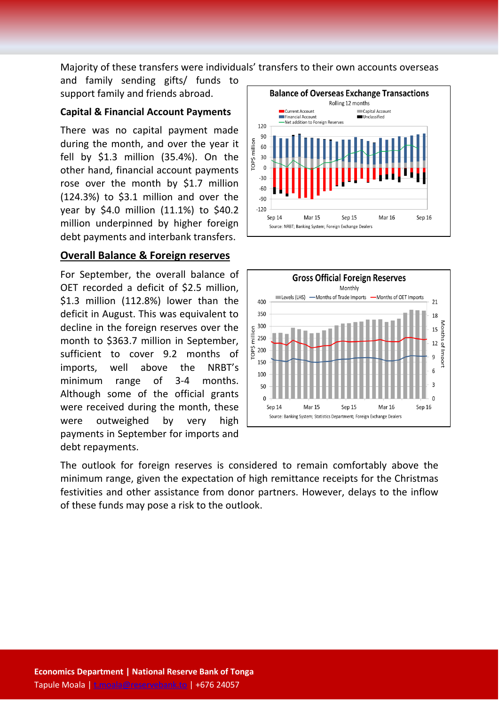Majority of these transfers were individuals' transfers to their own accounts overseas

and family sending gifts/ funds to support family and friends abroad.

### **Capital & Financial Account Payments**

There was no capital payment made during the month, and over the year it fell by \$1.3 million (35.4%). On the other hand, financial account payments rose over the month by \$1.7 million (124.3%) to \$3.1 million and over the year by \$4.0 million (11.1%) to \$40.2 million underpinned by higher foreign debt payments and interbank transfers.

### **Overall Balance & Foreign reserves**

For September, the overall balance of OET recorded a deficit of \$2.5 million, \$1.3 million (112.8%) lower than the deficit in August. This was equivalent to decline in the foreign reserves over the month to \$363.7 million in September, sufficient to cover 9.2 months of imports, well above the NRBT's minimum range of 3-4 months. Although some of the official grants were received during the month, these were outweighed by very high payments in September for imports and debt repayments.





The outlook for foreign reserves is considered to remain comfortably above the minimum range, given the expectation of high remittance receipts for the Christmas festivities and other assistance from donor partners. However, delays to the inflow of these funds may pose a risk to the outlook.